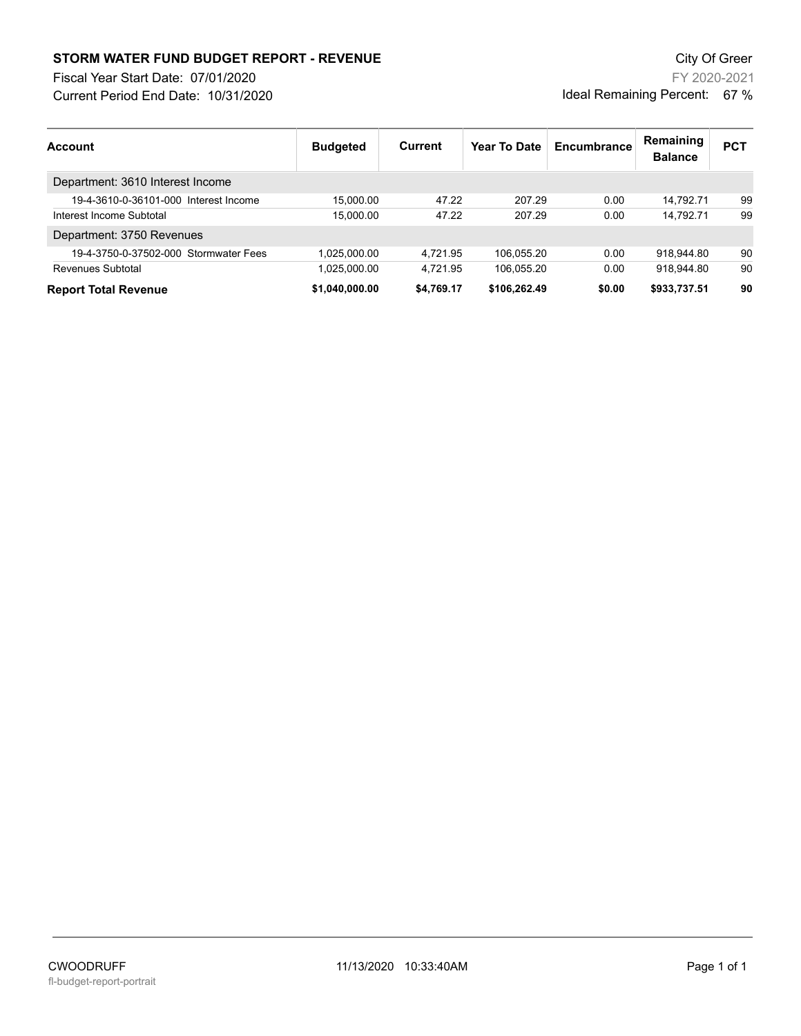## **STORM WATER FUND BUDGET REPORT - REVENUE City Of Greer** City Of Greer

Fiscal Year Start Date: 07/01/2020

Current Period End Date: 10/31/2020

FY 2020-2021 Ideal Remaining Percent: 67 %

| Account                               | <b>Budgeted</b> | Current    | Year To Date | Encumbrance | Remaining<br><b>Balance</b> | <b>PCT</b> |
|---------------------------------------|-----------------|------------|--------------|-------------|-----------------------------|------------|
| Department: 3610 Interest Income      |                 |            |              |             |                             |            |
| 19-4-3610-0-36101-000 Interest Income | 15.000.00       | 47.22      | 207.29       | 0.00        | 14.792.71                   | 99         |
| Interest Income Subtotal              | 15.000.00       | 47.22      | 207.29       | 0.00        | 14.792.71                   | 99         |
| Department: 3750 Revenues             |                 |            |              |             |                             |            |
| 19-4-3750-0-37502-000 Stormwater Fees | 1.025.000.00    | 4.721.95   | 106.055.20   | 0.00        | 918.944.80                  | 90         |
| Revenues Subtotal                     | 1.025.000.00    | 4.721.95   | 106.055.20   | 0.00        | 918.944.80                  | 90         |
| <b>Report Total Revenue</b>           | \$1.040.000.00  | \$4,769.17 | \$106,262.49 | \$0.00      | \$933,737.51                | 90         |